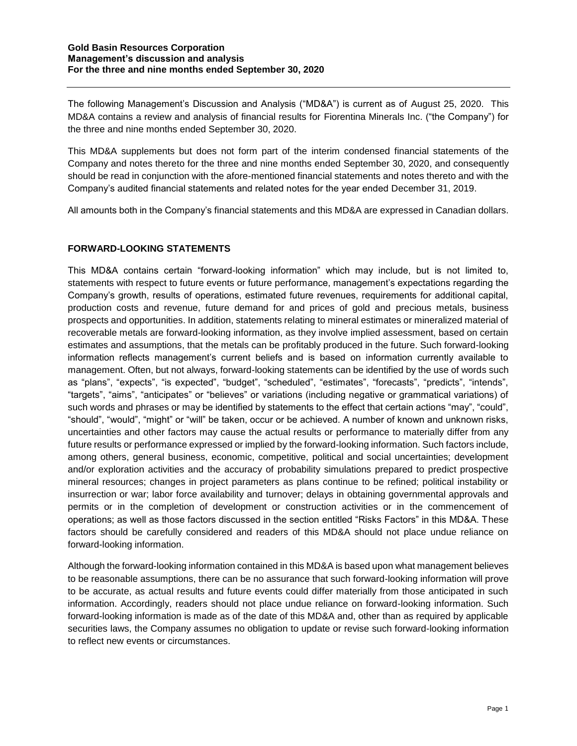The following Management's Discussion and Analysis ("MD&A") is current as of August 25, 2020. This MD&A contains a review and analysis of financial results for Fiorentina Minerals Inc. ("the Company") for the three and nine months ended September 30, 2020.

This MD&A supplements but does not form part of the interim condensed financial statements of the Company and notes thereto for the three and nine months ended September 30, 2020, and consequently should be read in conjunction with the afore-mentioned financial statements and notes thereto and with the Company's audited financial statements and related notes for the year ended December 31, 2019.

All amounts both in the Company's financial statements and this MD&A are expressed in Canadian dollars.

# **FORWARD-LOOKING STATEMENTS**

This MD&A contains certain "forward-looking information" which may include, but is not limited to, statements with respect to future events or future performance, management's expectations regarding the Company's growth, results of operations, estimated future revenues, requirements for additional capital, production costs and revenue, future demand for and prices of gold and precious metals, business prospects and opportunities. In addition, statements relating to mineral estimates or mineralized material of recoverable metals are forward-looking information, as they involve implied assessment, based on certain estimates and assumptions, that the metals can be profitably produced in the future. Such forward-looking information reflects management's current beliefs and is based on information currently available to management. Often, but not always, forward-looking statements can be identified by the use of words such as "plans", "expects", "is expected", "budget", "scheduled", "estimates", "forecasts", "predicts", "intends", "targets", "aims", "anticipates" or "believes" or variations (including negative or grammatical variations) of such words and phrases or may be identified by statements to the effect that certain actions "may", "could", "should", "would", "might" or "will" be taken, occur or be achieved. A number of known and unknown risks, uncertainties and other factors may cause the actual results or performance to materially differ from any future results or performance expressed or implied by the forward-looking information. Such factors include, among others, general business, economic, competitive, political and social uncertainties; development and/or exploration activities and the accuracy of probability simulations prepared to predict prospective mineral resources; changes in project parameters as plans continue to be refined; political instability or insurrection or war; labor force availability and turnover; delays in obtaining governmental approvals and permits or in the completion of development or construction activities or in the commencement of operations; as well as those factors discussed in the section entitled "Risks Factors" in this MD&A. These factors should be carefully considered and readers of this MD&A should not place undue reliance on forward-looking information.

Although the forward-looking information contained in this MD&A is based upon what management believes to be reasonable assumptions, there can be no assurance that such forward-looking information will prove to be accurate, as actual results and future events could differ materially from those anticipated in such information. Accordingly, readers should not place undue reliance on forward-looking information. Such forward-looking information is made as of the date of this MD&A and, other than as required by applicable securities laws, the Company assumes no obligation to update or revise such forward-looking information to reflect new events or circumstances.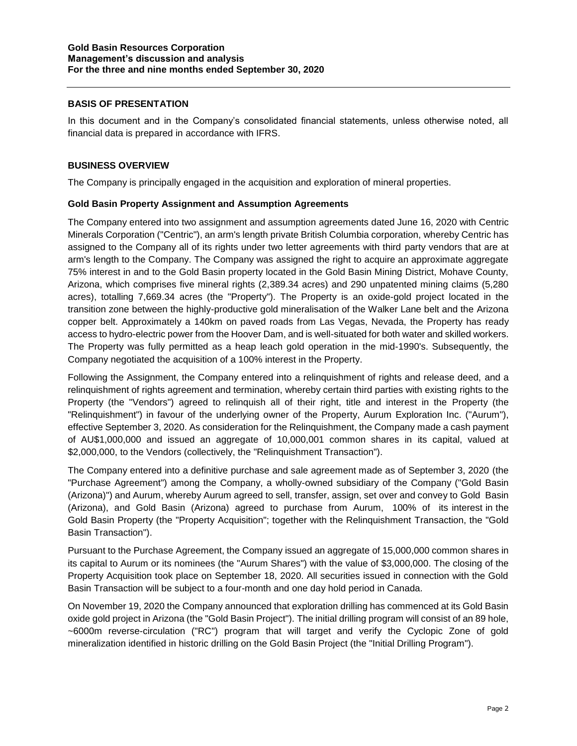## **BASIS OF PRESENTATION**

In this document and in the Company's consolidated financial statements, unless otherwise noted, all financial data is prepared in accordance with IFRS.

## **BUSINESS OVERVIEW**

The Company is principally engaged in the acquisition and exploration of mineral properties.

### **Gold Basin Property Assignment and Assumption Agreements**

The Company entered into two assignment and assumption agreements dated June 16, 2020 with Centric Minerals Corporation ("Centric"), an arm's length private British Columbia corporation, whereby Centric has assigned to the Company all of its rights under two letter agreements with third party vendors that are at arm's length to the Company. The Company was assigned the right to acquire an approximate aggregate 75% interest in and to the Gold Basin property located in the Gold Basin Mining District, Mohave County, Arizona, which comprises five mineral rights (2,389.34 acres) and 290 unpatented mining claims (5,280 acres), totalling 7,669.34 acres (the "Property"). The Property is an oxide-gold project located in the transition zone between the highly-productive gold mineralisation of the Walker Lane belt and the Arizona copper belt. Approximately a 140km on paved roads from Las Vegas, Nevada, the Property has ready access to hydro-electric power from the Hoover Dam, and is well-situated for both water and skilled workers. The Property was fully permitted as a heap leach gold operation in the mid-1990's. Subsequently, the Company negotiated the acquisition of a 100% interest in the Property.

Following the Assignment, the Company entered into a relinquishment of rights and release deed, and a relinquishment of rights agreement and termination, whereby certain third parties with existing rights to the Property (the "Vendors") agreed to relinquish all of their right, title and interest in the Property (the "Relinquishment") in favour of the underlying owner of the Property, Aurum Exploration Inc. ("Aurum"), effective September 3, 2020. As consideration for the Relinquishment, the Company made a cash payment of AU\$1,000,000 and issued an aggregate of 10,000,001 common shares in its capital, valued at \$2,000,000, to the Vendors (collectively, the "Relinquishment Transaction").

The Company entered into a definitive purchase and sale agreement made as of September 3, 2020 (the "Purchase Agreement") among the Company, a wholly-owned subsidiary of the Company ("Gold Basin (Arizona)") and Aurum, whereby Aurum agreed to sell, transfer, assign, set over and convey to Gold Basin (Arizona), and Gold Basin (Arizona) agreed to purchase from Aurum, 100% of its interest in the Gold Basin Property (the "Property Acquisition"; together with the Relinquishment Transaction, the "Gold Basin Transaction").

Pursuant to the Purchase Agreement, the Company issued an aggregate of 15,000,000 common shares in its capital to Aurum or its nominees (the "Aurum Shares") with the value of \$3,000,000. The closing of the Property Acquisition took place on September 18, 2020. All securities issued in connection with the Gold Basin Transaction will be subject to a four-month and one day hold period in Canada.

On November 19, 2020 the Company announced that exploration drilling has commenced at its Gold Basin oxide gold project in Arizona (the "Gold Basin Project"). The initial drilling program will consist of an 89 hole, ~6000m reverse-circulation ("RC") program that will target and verify the Cyclopic Zone of gold mineralization identified in historic drilling on the Gold Basin Project (the "Initial Drilling Program").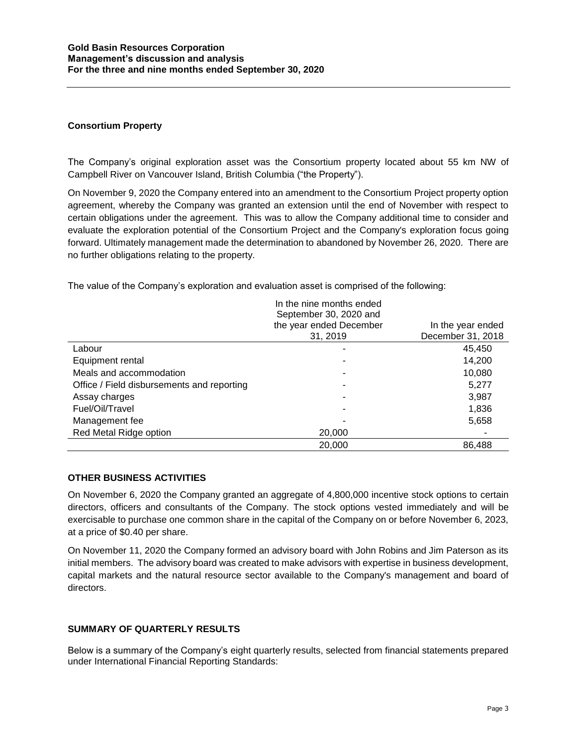## **Consortium Property**

The Company's original exploration asset was the Consortium property located about 55 km NW of Campbell River on Vancouver Island, British Columbia ("the Property").

On November 9, 2020 the Company entered into an amendment to the Consortium Project property option agreement, whereby the Company was granted an extension until the end of November with respect to certain obligations under the agreement. This was to allow the Company additional time to consider and evaluate the exploration potential of the Consortium Project and the Company's exploration focus going forward. Ultimately management made the determination to abandoned by November 26, 2020. There are no further obligations relating to the property.

The value of the Company's exploration and evaluation asset is comprised of the following:

|                                            | In the nine months ended<br>September 30, 2020 and |                   |
|--------------------------------------------|----------------------------------------------------|-------------------|
|                                            | the year ended December                            | In the year ended |
|                                            | 31, 2019                                           | December 31, 2018 |
| Labour                                     |                                                    | 45,450            |
| Equipment rental                           |                                                    | 14,200            |
| Meals and accommodation                    |                                                    | 10,080            |
| Office / Field disbursements and reporting |                                                    | 5,277             |
| Assay charges                              |                                                    | 3,987             |
| Fuel/Oil/Travel                            |                                                    | 1,836             |
| Management fee                             |                                                    | 5,658             |
| Red Metal Ridge option                     | 20,000                                             |                   |
|                                            | 20,000                                             | 86,488            |

### **OTHER BUSINESS ACTIVITIES**

On November 6, 2020 the Company granted an aggregate of 4,800,000 incentive stock options to certain directors, officers and consultants of the Company. The stock options vested immediately and will be exercisable to purchase one common share in the capital of the Company on or before November 6, 2023, at a price of \$0.40 per share.

On November 11, 2020 the Company formed an advisory board with John Robins and Jim Paterson as its initial members. The advisory board was created to make advisors with expertise in business development, capital markets and the natural resource sector available to the Company's management and board of directors.

### **SUMMARY OF QUARTERLY RESULTS**

Below is a summary of the Company's eight quarterly results, selected from financial statements prepared under International Financial Reporting Standards: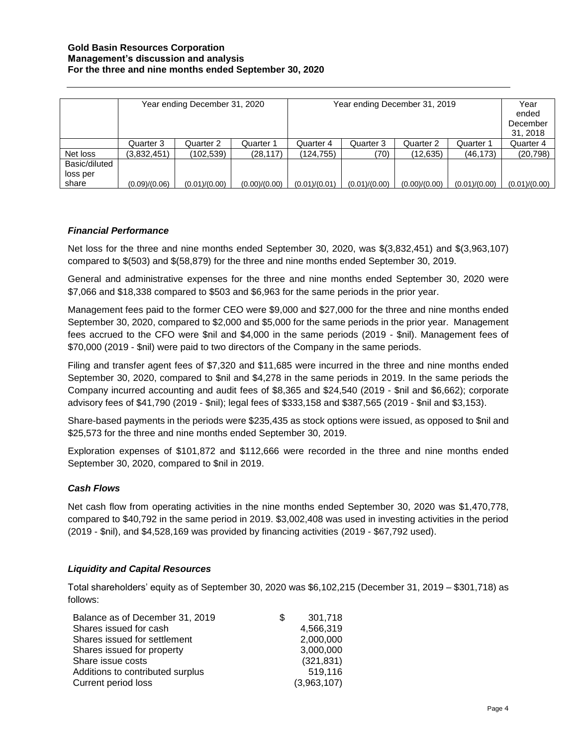#### **Gold Basin Resources Corporation Management's discussion and analysis For the three and nine months ended September 30, 2020**

|               | Year ending December 31, 2020 |               |               | Year ending December 31, 2019 |               |               |               | Year<br>ended<br>December<br>31, 2018 |
|---------------|-------------------------------|---------------|---------------|-------------------------------|---------------|---------------|---------------|---------------------------------------|
|               | Quarter 3                     | Quarter 2     | Quarter 1     | Quarter 4                     | Quarter 3     | Quarter 2     | Quarter 1     | Quarter 4                             |
| Net loss      | (3,832,451)                   | (102, 539)    | (28,117)      | (124, 755)                    | (70)          | (12, 635)     | (46, 173)     | (20, 798)                             |
| Basic/diluted |                               |               |               |                               |               |               |               |                                       |
| loss per      |                               |               |               |                               |               |               |               |                                       |
| share         | (0.09)/(0.06)                 | (0.01)/(0.00) | (0.00)/(0.00) | (0.01)/(0.01)                 | (0.01)/(0.00) | (0.00)/(0.00) | (0.01)/(0.00) | (0.01)/(0.00)                         |

## *Financial Performance*

Net loss for the three and nine months ended September 30, 2020, was \$(3,832,451) and \$(3,963,107) compared to \$(503) and \$(58,879) for the three and nine months ended September 30, 2019.

General and administrative expenses for the three and nine months ended September 30, 2020 were \$7,066 and \$18,338 compared to \$503 and \$6,963 for the same periods in the prior year.

Management fees paid to the former CEO were \$9,000 and \$27,000 for the three and nine months ended September 30, 2020, compared to \$2,000 and \$5,000 for the same periods in the prior year. Management fees accrued to the CFO were \$nil and \$4,000 in the same periods (2019 - \$nil). Management fees of \$70,000 (2019 - \$nil) were paid to two directors of the Company in the same periods.

Filing and transfer agent fees of \$7,320 and \$11,685 were incurred in the three and nine months ended September 30, 2020, compared to \$nil and \$4,278 in the same periods in 2019. In the same periods the Company incurred accounting and audit fees of \$8,365 and \$24,540 (2019 - \$nil and \$6,662); corporate advisory fees of \$41,790 (2019 - \$nil); legal fees of \$333,158 and \$387,565 (2019 - \$nil and \$3,153).

Share-based payments in the periods were \$235,435 as stock options were issued, as opposed to \$nil and \$25,573 for the three and nine months ended September 30, 2019.

Exploration expenses of \$101,872 and \$112,666 were recorded in the three and nine months ended September 30, 2020, compared to \$nil in 2019.

## *Cash Flows*

Net cash flow from operating activities in the nine months ended September 30, 2020 was \$1,470,778, compared to \$40,792 in the same period in 2019. \$3,002,408 was used in investing activities in the period (2019 - \$nil), and \$4,528,169 was provided by financing activities (2019 - \$67,792 used).

### *Liquidity and Capital Resources*

Total shareholders' equity as of September 30, 2020 was \$6,102,215 (December 31, 2019 – \$301,718) as follows:

| Balance as of December 31, 2019  | S | 301,718     |
|----------------------------------|---|-------------|
| Shares issued for cash           |   | 4,566,319   |
| Shares issued for settlement     |   | 2,000,000   |
| Shares issued for property       |   | 3,000,000   |
| Share issue costs                |   | (321, 831)  |
| Additions to contributed surplus |   | 519,116     |
| Current period loss              |   | (3,963,107) |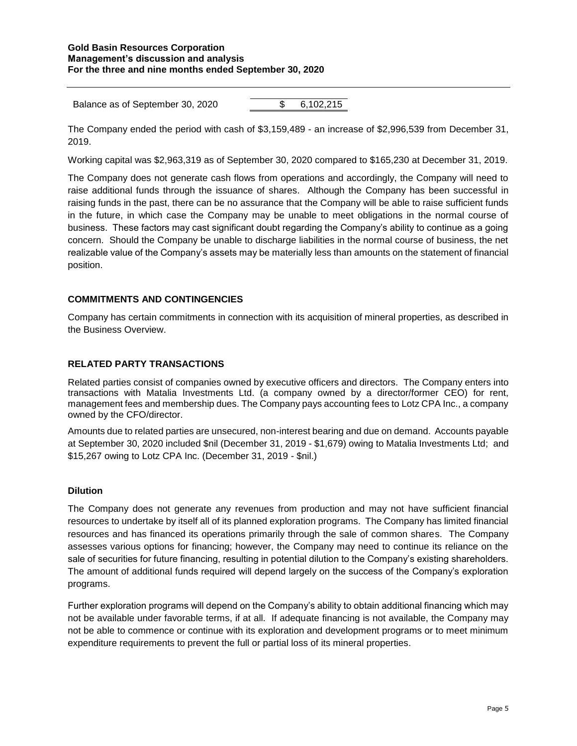### **Gold Basin Resources Corporation Management's discussion and analysis For the three and nine months ended September 30, 2020**

Balance as of September 30, 2020 \$ 6,102,215

The Company ended the period with cash of \$3,159,489 - an increase of \$2,996,539 from December 31, 2019.

Working capital was \$2,963,319 as of September 30, 2020 compared to \$165,230 at December 31, 2019.

The Company does not generate cash flows from operations and accordingly, the Company will need to raise additional funds through the issuance of shares. Although the Company has been successful in raising funds in the past, there can be no assurance that the Company will be able to raise sufficient funds in the future, in which case the Company may be unable to meet obligations in the normal course of business. These factors may cast significant doubt regarding the Company's ability to continue as a going concern. Should the Company be unable to discharge liabilities in the normal course of business, the net realizable value of the Company's assets may be materially less than amounts on the statement of financial position.

## **COMMITMENTS AND CONTINGENCIES**

Company has certain commitments in connection with its acquisition of mineral properties, as described in the Business Overview.

## **RELATED PARTY TRANSACTIONS**

Related parties consist of companies owned by executive officers and directors. The Company enters into transactions with Matalia Investments Ltd. (a company owned by a director/former CEO) for rent, management fees and membership dues. The Company pays accounting fees to Lotz CPA Inc., a company owned by the CFO/director.

Amounts due to related parties are unsecured, non-interest bearing and due on demand. Accounts payable at September 30, 2020 included \$nil (December 31, 2019 - \$1,679) owing to Matalia Investments Ltd; and \$15,267 owing to Lotz CPA Inc. (December 31, 2019 - \$nil.)

### **Dilution**

The Company does not generate any revenues from production and may not have sufficient financial resources to undertake by itself all of its planned exploration programs. The Company has limited financial resources and has financed its operations primarily through the sale of common shares. The Company assesses various options for financing; however, the Company may need to continue its reliance on the sale of securities for future financing, resulting in potential dilution to the Company's existing shareholders. The amount of additional funds required will depend largely on the success of the Company's exploration programs.

Further exploration programs will depend on the Company's ability to obtain additional financing which may not be available under favorable terms, if at all. If adequate financing is not available, the Company may not be able to commence or continue with its exploration and development programs or to meet minimum expenditure requirements to prevent the full or partial loss of its mineral properties.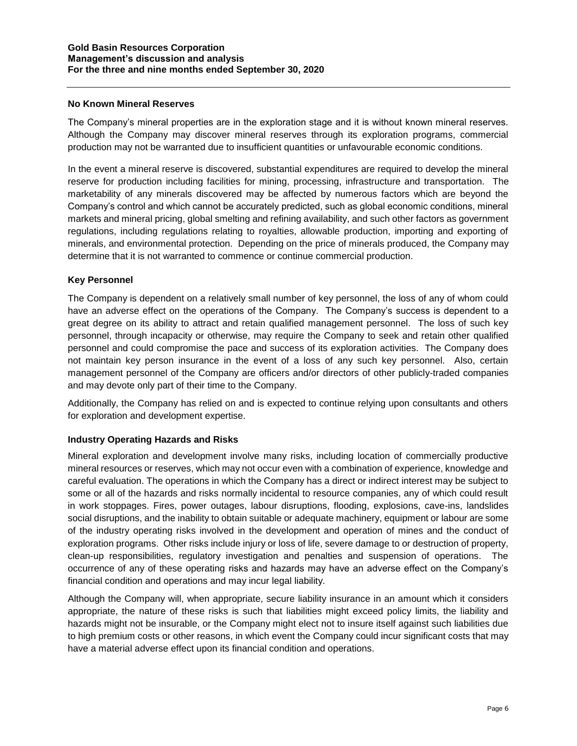## **No Known Mineral Reserves**

The Company's mineral properties are in the exploration stage and it is without known mineral reserves. Although the Company may discover mineral reserves through its exploration programs, commercial production may not be warranted due to insufficient quantities or unfavourable economic conditions.

In the event a mineral reserve is discovered, substantial expenditures are required to develop the mineral reserve for production including facilities for mining, processing, infrastructure and transportation. The marketability of any minerals discovered may be affected by numerous factors which are beyond the Company's control and which cannot be accurately predicted, such as global economic conditions, mineral markets and mineral pricing, global smelting and refining availability, and such other factors as government regulations, including regulations relating to royalties, allowable production, importing and exporting of minerals, and environmental protection. Depending on the price of minerals produced, the Company may determine that it is not warranted to commence or continue commercial production.

## **Key Personnel**

The Company is dependent on a relatively small number of key personnel, the loss of any of whom could have an adverse effect on the operations of the Company. The Company's success is dependent to a great degree on its ability to attract and retain qualified management personnel. The loss of such key personnel, through incapacity or otherwise, may require the Company to seek and retain other qualified personnel and could compromise the pace and success of its exploration activities. The Company does not maintain key person insurance in the event of a loss of any such key personnel. Also, certain management personnel of the Company are officers and/or directors of other publicly-traded companies and may devote only part of their time to the Company.

Additionally, the Company has relied on and is expected to continue relying upon consultants and others for exploration and development expertise.

## **Industry Operating Hazards and Risks**

Mineral exploration and development involve many risks, including location of commercially productive mineral resources or reserves, which may not occur even with a combination of experience, knowledge and careful evaluation. The operations in which the Company has a direct or indirect interest may be subject to some or all of the hazards and risks normally incidental to resource companies, any of which could result in work stoppages. Fires, power outages, labour disruptions, flooding, explosions, cave-ins, landslides social disruptions, and the inability to obtain suitable or adequate machinery, equipment or labour are some of the industry operating risks involved in the development and operation of mines and the conduct of exploration programs. Other risks include injury or loss of life, severe damage to or destruction of property, clean-up responsibilities, regulatory investigation and penalties and suspension of operations. The occurrence of any of these operating risks and hazards may have an adverse effect on the Company's financial condition and operations and may incur legal liability.

Although the Company will, when appropriate, secure liability insurance in an amount which it considers appropriate, the nature of these risks is such that liabilities might exceed policy limits, the liability and hazards might not be insurable, or the Company might elect not to insure itself against such liabilities due to high premium costs or other reasons, in which event the Company could incur significant costs that may have a material adverse effect upon its financial condition and operations.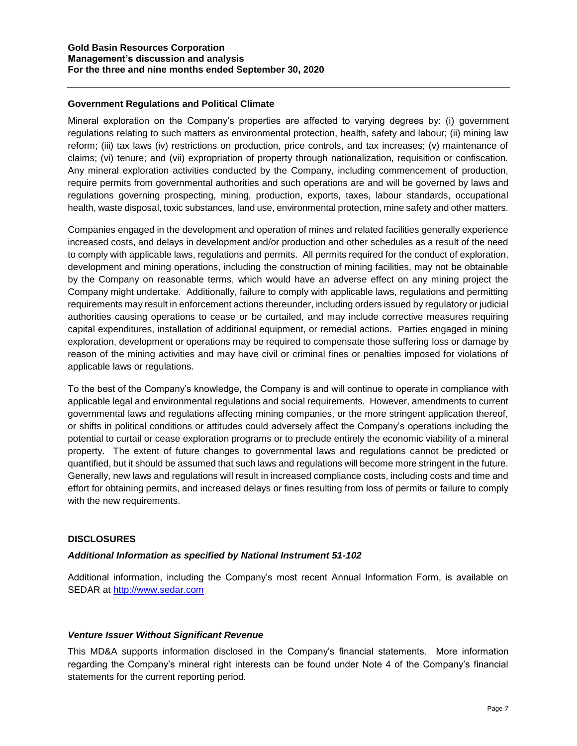## **Government Regulations and Political Climate**

Mineral exploration on the Company's properties are affected to varying degrees by: (i) government regulations relating to such matters as environmental protection, health, safety and labour; (ii) mining law reform; (iii) tax laws (iv) restrictions on production, price controls, and tax increases; (v) maintenance of claims; (vi) tenure; and (vii) expropriation of property through nationalization, requisition or confiscation. Any mineral exploration activities conducted by the Company, including commencement of production, require permits from governmental authorities and such operations are and will be governed by laws and regulations governing prospecting, mining, production, exports, taxes, labour standards, occupational health, waste disposal, toxic substances, land use, environmental protection, mine safety and other matters.

Companies engaged in the development and operation of mines and related facilities generally experience increased costs, and delays in development and/or production and other schedules as a result of the need to comply with applicable laws, regulations and permits. All permits required for the conduct of exploration, development and mining operations, including the construction of mining facilities, may not be obtainable by the Company on reasonable terms, which would have an adverse effect on any mining project the Company might undertake. Additionally, failure to comply with applicable laws, regulations and permitting requirements may result in enforcement actions thereunder, including orders issued by regulatory or judicial authorities causing operations to cease or be curtailed, and may include corrective measures requiring capital expenditures, installation of additional equipment, or remedial actions. Parties engaged in mining exploration, development or operations may be required to compensate those suffering loss or damage by reason of the mining activities and may have civil or criminal fines or penalties imposed for violations of applicable laws or regulations.

To the best of the Company's knowledge, the Company is and will continue to operate in compliance with applicable legal and environmental regulations and social requirements. However, amendments to current governmental laws and regulations affecting mining companies, or the more stringent application thereof, or shifts in political conditions or attitudes could adversely affect the Company's operations including the potential to curtail or cease exploration programs or to preclude entirely the economic viability of a mineral property. The extent of future changes to governmental laws and regulations cannot be predicted or quantified, but it should be assumed that such laws and regulations will become more stringent in the future. Generally, new laws and regulations will result in increased compliance costs, including costs and time and effort for obtaining permits, and increased delays or fines resulting from loss of permits or failure to comply with the new requirements.

## **DISCLOSURES**

### *Additional Information as specified by National Instrument 51-102*

Additional information, including the Company's most recent Annual Information Form, is available on SEDAR at [http://www.sedar.com](http://www.sedar.com/)

### *Venture Issuer Without Significant Revenue*

This MD&A supports information disclosed in the Company's financial statements. More information regarding the Company's mineral right interests can be found under Note 4 of the Company's financial statements for the current reporting period.